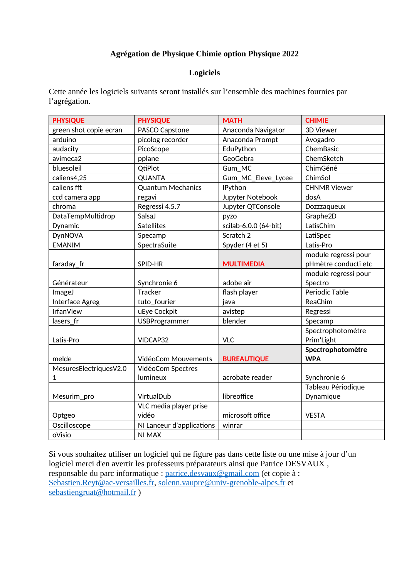## **Agrégation de Physique Chimie option Physique 2022**

### **Logiciels**

Cette année les logiciels suivants seront installés sur l'ensemble des machines fournies par l'agrégation.

| <b>PHYSIQUE</b>        | <b>PHYSIQUE</b>           | <b>MATH</b>           | <b>CHIMIE</b>        |
|------------------------|---------------------------|-----------------------|----------------------|
| green shot copie ecran | PASCO Capstone            | Anaconda Navigator    | 3D Viewer            |
| arduino                | picolog recorder          | Anaconda Prompt       | Avogadro             |
| audacity               | PicoScope                 | EduPython             | ChemBasic            |
| avimeca2               | pplane                    | GeoGebra              | ChemSketch           |
| bluesoleil             | QtiPlot                   | Gum_MC                | ChimGéné             |
| caliens4,25            | QUANTA                    | Gum_MC_Eleve_Lycee    | ChimSol              |
| caliens fft            | <b>Quantum Mechanics</b>  | IPython               | <b>CHNMR Viewer</b>  |
| ccd camera app         | regavi                    | Jupyter Notebook      | dosA                 |
| chroma                 | Regressi 4.5.7            | Jupyter QTConsole     | Dozzzaqueux          |
| DataTempMultidrop      | SalsaJ                    | pyzo                  | Graphe2D             |
| Dynamic                | <b>Satellites</b>         | scilab-6.0.0 (64-bit) | LatisChim            |
| <b>DynNOVA</b>         | Specamp                   | Scratch 2             | LatiSpec             |
| <b>EMANIM</b>          | SpectraSuite              | Spyder (4 et 5)       | Latis-Pro            |
|                        |                           |                       | module regressi pour |
| faraday_fr             | SPID-HR                   | <b>MULTIMEDIA</b>     | pHmètre conducti etc |
|                        |                           |                       | module regressi pour |
| Générateur             | Synchronie 6              | adobe air             | Spectro              |
| ImageJ                 | Tracker                   | flash player          | Periodic Table       |
| Interface Agreg        | tuto_fourier              | java                  | ReaChim              |
| <b>IrfanView</b>       | uEye Cockpit              | avistep               | Regressi             |
| lasers_fr              | <b>USBProgrammer</b>      | blender               | Specamp              |
|                        |                           |                       | Spectrophotomètre    |
| Latis-Pro              | VIDCAP32                  | <b>VLC</b>            | Prim'Light           |
|                        |                           |                       | Spectrophotomètre    |
| melde                  | VidéoCom Mouvements       | <b>BUREAUTIQUE</b>    | <b>WPA</b>           |
| MesuresElectriquesV2.0 | VidéoCom Spectres         |                       |                      |
| 1                      | lumineux                  | acrobate reader       | Synchronie 6         |
|                        |                           |                       | Tableau Périodique   |
| Mesurim_pro            | VirtualDub                | libreoffice           | Dynamique            |
|                        | VLC media player prise    |                       |                      |
| Optgeo                 | vidéo                     | microsoft office      | <b>VESTA</b>         |
| Oscilloscope           | NI Lanceur d'applications | winrar                |                      |
| oVisio                 | NI MAX                    |                       |                      |

Si vous souhaitez utiliser un logiciel qui ne figure pas dans cette liste ou une mise à jour d'un logiciel merci d'en avertir les professeurs préparateurs ainsi que Patrice DESVAUX, responsable du parc informatique : [patrice.desvaux@gmail.com](mailto:patrice.desvaux@gmail.com) (et copie à : [Sebastien.Reyt@ac-versailles.fr,](mailto:Sebastien.Reyt@ac-versailles.fr) [solenn.vaupre@univ-grenoble-alpes.fr](mailto:solenn.vaupre@univ-grenoble-alpes.fr) et [sebastiengruat@hotmail.fr](mailto:sebastiengruat@hotmail.fr) )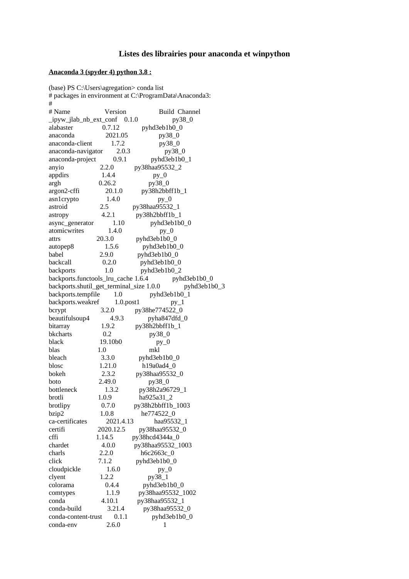#### **Listes des librairies pour anaconda et winpython**

#### **Anaconda 3 (spyder 4) python 3.8 :**

(base) PS C:\Users\agregation> conda list # packages in environment at C:\ProgramData\Anaconda3: # # Name Version Build Channel  $\mu$ ipyw\_jlab\_nb\_ext\_conf  $0.1.0$  py38 $0$ alabaster 0.7.12 pyhd3eb1b0\_0 anaconda 2021.05 py38\_0 anaconda-client 1.7.2 py38\_0 anaconda-navigator 2.0.3 py38\_0 anaconda-project 0.9.1 pyhd3eb1b0\_1 anyio 2.2.0 py38haa95532\_2 appdirs  $1.4.4$  py\_0 argh 0.26.2 py38\_0 argon2-cffi 20.1.0 py38h2bbff1b\_1 asn1crypto 1.4.0 py\_0 astroid 2.5 py38haa95532\_1 astropy 4.2.1 py38h2bbff1b\_1 async\_generator 1.10 pyhd3eb1b0\_0 atomicwrites 1.4.0 py\_0 attrs 20.3.0 pyhd3eb1b0\_0 autopep8 1.5.6 pyhd3eb1b0\_0 babel 2.9.0 pyhd3eb1b0\_0 backcall 0.2.0 pyhd3eb1b0\_0 backports 1.0 pyhd3eb1b0\_2 backports.functools\_lru\_cache 1.6.4 pyhd3eb1b0\_0 backports.shutil\_get\_terminal\_size 1.0.0 pyhd3eb1b0\_3 backports.tempfile 1.0 pyhd3eb1b0\_1 backports.weakref 1.0.post1 py\_1 bcrypt 3.2.0 py38he774522\_0 beautifulsoup4 4.9.3 pyha847dfd\_0 bitarray 1.9.2 py38h2bbff1b 1 bkcharts 0.2 py38\_0 black 19.10b0 py\_0 blas 1.0 mkl bleach 3.3.0 pyhd3eb1b0\_0 blosc 1.21.0 h19a0ad4 0 bokeh 2.3.2 py38haa95532\_0 boto 2.49.0 py38\_0 bottleneck 1.3.2 py38h2a96729\_1 brotli 1.0.9 ha925a31\_2 brotlipy 0.7.0 py38h2bbff1b\_1003 bzip2 1.0.8 he774522\_0 ca-certificates 2021.4.13 haa95532\_1 certifi 2020.12.5 py38haa95532\_0 cffi 1.14.5 py38hcd4344a\_0 chardet 4.0.0 py38haa95532\_1003 charls 2.2.0 h6c2663c\_0 click 7.1.2 pyhd3eb1b0\_0 cloudpickle 1.6.0 py\_0 clyent 1.2.2 py38\_1 colorama 0.4.4 pyhd3eb1b0\_0 comtypes 1.1.9 py38haa95532\_1002<br>conda 4.10.1 py38haa95532\_1 conda 4.10.1 py38haa95532\_1 conda-build 3.21.4 py38haa95532\_0 conda-content-trust 0.1.1 pyhd3eb1b0\_0 conda-env 2.6.0 1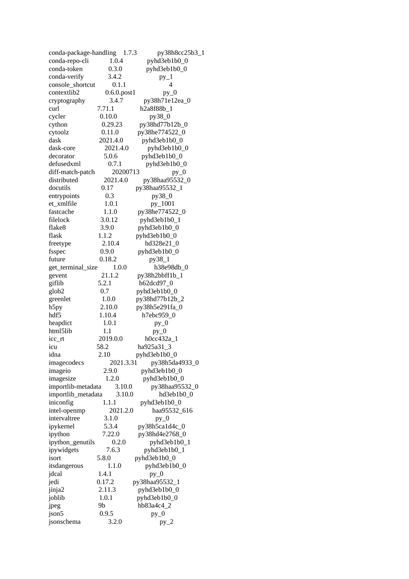| conda-package-handling 1.7.3 |                   | py38h8cc25b3_1           |
|------------------------------|-------------------|--------------------------|
| conda-repo-cli               | 1.0.4             | pyhd3eb1b0_0             |
| conda-token                  | 0.3.0             | pyhd3eb1b0_0             |
| conda-verify                 | 3.4.2             | $py_1$                   |
| console_shortcut             | 0.1.1             | $\overline{\mathcal{A}}$ |
| contextlib2                  | $0.6.0$ .post $1$ | $py_0$                   |
| cryptography                 | 3.4.7             | py38h71e12ea_0           |
| curl                         | 7.71.1            | h2a8f88b_1               |
| cycler                       | 0.10.0            | py38_0                   |
| cython                       | 0.29.23           | py38hd77b12b_0           |
| cytoolz                      | 0.11.0            | py38he774522_0           |
| dask                         | 2021.4.0          | pyhd3eb1b0_0             |
| dask-core                    | 2021.4.0          | pyhd3eb1b0_0             |
| decorator                    | 5.0.6             | pyhd3eb1b0_0             |
| defusedxml                   | 0.7.1             | pyhd3eb1b0_0             |
| diff-match-patch             | 20200713          | $py_0$                   |
| distributed                  | 2021.4.0          | py38haa95532_0           |
| docutils                     | 0.17              | py38haa95532_1           |
| entrypoints                  | 0.3               | py38_0                   |
| et_xmlfile                   | 1.0.1             | py_1001                  |
| fastcache                    | 1.1.0             | py38he774522_0           |
| filelock                     | 3.0.12            | pyhd3eb1b0_1             |
| flake8                       | 3.9.0             | pyhd3eb1b0_0             |
| flask                        | 1.1.2             | pyhd3eb1b0_0             |
| freetype                     | 2.10.4            | hd328e21_0               |
| fsspec                       | 0.9.0             | pyhd3eb1b0_0             |
| future                       | 0.18.2            | py38_1                   |
| get_terminal_size            | 1.0.0             | h38e98db_0               |
| gevent                       | 21.1.2            | py38h2bbff1b_1           |
| giflib                       | 5.2.1             | h62dcd97_0               |
| glob2                        | 0.7               | pyhd3eb1b0_0             |
| greenlet                     | 1.0.0             | py38hd77b12b_2           |
| h5py                         | 2.10.0            | py38h5e291fa_0           |
| hdf5                         | 1.10.4            | h7ebc959_0               |
| heapdict                     | 1.0.1             | $py_0$                   |
| html5lib                     | 1.1               | $py_0$                   |
| icc_rt                       | 2019.0.0          | h0cc432a_1               |
| icu                          | 58.2              | ha925a31_3               |
| idna                         | 2.10              | pyhd3eb1b0_0             |
| imagecodecs                  | 2021.3.31         | py38h5da4933_0           |
| imageio                      | 2.9.0             | pyhd3eb1b0_0             |
| imagesize                    | 1.2.0             | pyhd3eb1b0_0             |
| importlib-metadata           | 3.10.0            | py38haa95532_0           |
| importlib_metadata           | 3.10.0            | hd3eb1b0 0               |
| iniconfig                    | 1.1.1             | pyhd3eb1b0_0             |
| intel-openmp                 | 2021.2.0          | haa95532_616             |
| intervaltree                 | 3.1.0             | $py_0$                   |
| ipykernel                    | 5.3.4             | py38h5ca1d4c_0           |
| ipython                      | 7.22.0            | py38hd4e2768_0           |
| ipython_genutils             | 0.2.0             | pyhd3eb1b0_1             |
| ipywidgets                   | 7.6.3             | pyhd3eb1b0_1             |
| isort                        | 5.8.0             | pyhd3eb1b0_0             |
| itsdangerous                 | 1.1.0             | pyhd3eb1b0_0             |
| jdcal                        | 1.4.1             | $py_0$                   |
| jedi                         | 0.17.2            | py38haa95532_1           |
| jinja2                       | 2.11.3            | pyhd3eb1b0_0             |
| joblib                       | 1.0.1             | pyhd3eb1b0_0             |
| jpeg                         | 9b                | hb83a4c4_2               |
| json5                        | 0.9.5             | $py_0$                   |
| jsonschema                   | 3.2.0             | $py_2$                   |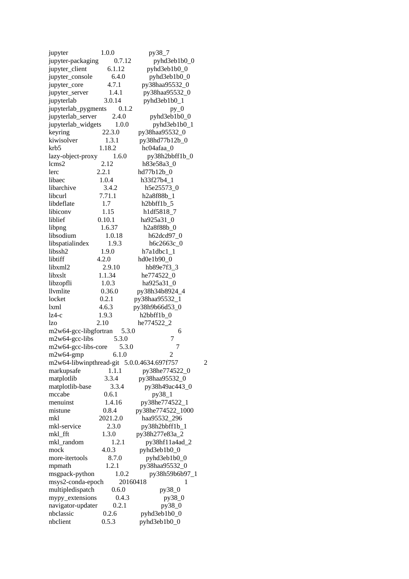| jupyter                                    | 1.0.0    | py38_7            |                |
|--------------------------------------------|----------|-------------------|----------------|
| jupyter-packaging                          | 0.7.12   | pyhd3eb1b0_0      |                |
| jupyter_client                             | 6.1.12   | pyhd3eb1b0_0      |                |
| jupyter_console                            | 6.4.0    | pyhd3eb1b0_0      |                |
| jupyter_core                               | 4.7.1    | py38haa95532_0    |                |
| jupyter_server                             | 1.4.1    | py38haa95532_0    |                |
| jupyterlab                                 | 3.0.14   | pyhd3eb1b0_1      |                |
| jupyterlab_pygments                        | 0.1.2    | $py_0$            |                |
| jupyterlab_server                          | 2.4.0    | pyhd3eb1b0_0      |                |
| jupyterlab_widgets                         | 1.0.0    | pyhd3eb1b0_1      |                |
|                                            |          |                   |                |
| keyring                                    | 22.3.0   | py38haa95532_0    |                |
| kiwisolver                                 | 1.3.1    | py38hd77b12b_0    |                |
| krb5                                       | 1.18.2   | hc04afaa_0        |                |
| lazy-object-proxy                          | 1.6.0    | py38h2bbff1b_0    |                |
| lcms2                                      | 2.12     | h83e58a3_0        |                |
| lerc                                       | 2.2.1    | hd77b12b_0        |                |
| libaec                                     | 1.0.4    | h33f27b4_1        |                |
| libarchive                                 | 3.4.2    | h5e25573 0        |                |
| libcurl                                    | 7.71.1   | h2a8f88b 1        |                |
|                                            |          |                   |                |
| libdeflate                                 | 1.7      | h2bbff1b_5        |                |
| libiconv                                   | 1.15     | h1df5818_7        |                |
| liblief                                    | 0.10.1   | ha925a31_0        |                |
| libpng                                     | 1.6.37   | h2a8f88b_0        |                |
| libsodium                                  | 1.0.18   | h62dcd97_0        |                |
| libspatialindex                            | 1.9.3    | h6c2663c_0        |                |
| libssh2                                    | 1.9.0    | $h7a1dbc1_1$      |                |
| libtiff                                    | 4.2.0    | hd0e1b90_0        |                |
| libxml2                                    | 2.9.10   | hb89e7f3_3        |                |
| libxslt                                    | 1.1.34   | he774522_0        |                |
|                                            |          |                   |                |
| libzopfli                                  | 1.0.3    | ha925a31_0        |                |
| llvmlite                                   | 0.36.0   | py38h34b8924_4    |                |
| locket                                     | 0.2.1    | py38haa95532_1    |                |
| lxml                                       | 4.6.3    | py38h9b66d53_0    |                |
| $1z4-c$                                    | 1.9.3    | h2bbff1b_0        |                |
| lzo                                        | 2.10     | he774522_2        |                |
| m2w64-gcc-libgfortran                      | 5.3.0    | 6                 |                |
| m2w64-gcc-libs                             | 5.3.0    | 7                 |                |
| m2w64-gcc-libs-core                        | 5.3.0    | 7                 |                |
| m2w64-gmp                                  | 6.1.0    | 2                 |                |
|                                            |          |                   |                |
| m2w64-libwinpthread-git 5.0.0.4634.697f757 |          |                   | $\overline{c}$ |
| markupsafe                                 | 1.1.1    | py38he774522_0    |                |
| matplotlib                                 | 3.3.4    | py38haa95532_0    |                |
| matplotlib-base                            | 3.3.4    | py38h49ac443_0    |                |
| mccabe                                     | 0.6.1    | py38_1            |                |
| menuinst                                   | 1.4.16   | py38he774522_1    |                |
| mistune                                    | 0.8.4    | py38he774522 1000 |                |
| mkl                                        | 2021.2.0 | haa95532_296      |                |
| mkl-service                                | 2.3.0    | py38h2bbff1b_1    |                |
| mkl_fft                                    | 1.3.0    | py38h277e83a_2    |                |
| mkl random                                 | 1.2.1    |                   |                |
|                                            |          | py38hf11a4ad_2    |                |
| mock                                       | 4.0.3    | pyhd3eb1b0_0      |                |
| more-itertools                             | 8.7.0    | pyhd3eb1b0_0      |                |
| mpmath                                     | 1.2.1    | py38haa95532_0    |                |
| msgpack-python                             | 1.0.2    | py38h59b6b97_1    |                |
| msys2-conda-epoch                          |          | 20160418<br>1     |                |
| multipledispatch                           | 0.6.0    | py38_0            |                |
| mypy_extensions                            | 0.4.3    | py38_0            |                |
| navigator-updater                          | 0.2.1    | py38_0            |                |
| nbclassic                                  | 0.2.6    | pyhd3eb1b0_0      |                |
|                                            |          |                   |                |
| nbclient                                   | 0.5.3    | pyhd3eb1b0_0      |                |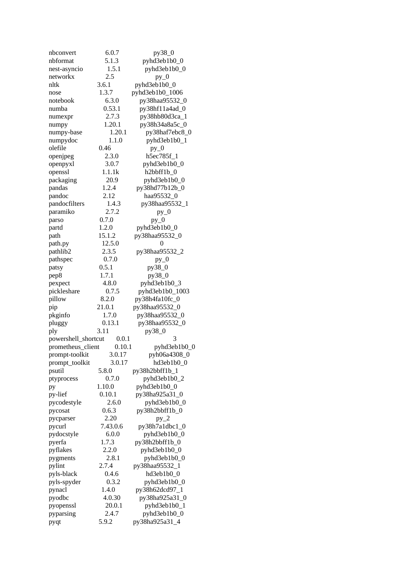| nbconvert           | 6.0.7    | py38_0          |
|---------------------|----------|-----------------|
| nbformat            | 5.1.3    | pyhd3eb1b0_0    |
| nest-asyncio        | 1.5.1    | pyhd3eb1b0_0    |
| networkx            | 2.5      | $py_0$          |
| nltk                | 3.6.1    | pyhd3eb1b0_0    |
| nose                | 1.3.7    | pyhd3eb1b0_1006 |
| notebook            | 6.3.0    | py38haa95532_0  |
|                     |          |                 |
| numba               | 0.53.1   | py38hf11a4ad_0  |
| numexpr             | 2.7.3    | py38hb80d3ca_1  |
| numpy               | 1.20.1   | py38h34a8a5c_0  |
| numpy-base          | 1.20.1   | py38haf7ebc8_0  |
| numpydoc            | 1.1.0    | pyhd3eb1b0_1    |
| olefile             | 0.46     | $py_0$          |
| openjpeg            | 2.3.0    | h5ec785f_1      |
| openpyxl            | 3.0.7    | pyhd3eb1b0_0    |
| openssl             | 1.1.1k   | h2bbff1b_0      |
| packaging           | 20.9     | pyhd3eb1b0_0    |
|                     | 1.2.4    | py38hd77b12b_0  |
| pandas              |          |                 |
| pandoc              | 2.12     | haa95532_0      |
| pandocfilters       | 1.4.3    | py38haa95532_1  |
| paramiko            | 2.7.2    | $py_0$          |
| parso               | 0.7.0    | $py_0$          |
| partd               | 1.2.0    | pyhd3eb1b0_0    |
| path                | 15.1.2   | py38haa95532_0  |
| path.py             | 12.5.0   | 0               |
| pathlib2            | 2.3.5    | py38haa95532_2  |
| pathspec            | 0.7.0    | $py_0$          |
|                     | 0.5.1    | py38_0          |
| patsy               |          |                 |
| pep8                | 1.7.1    | py38_0          |
| pexpect             | 4.8.0    | pyhd3eb1b0_3    |
| pickleshare         | 0.7.5    | pyhd3eb1b0_1003 |
| pillow              | 8.2.0    | py38h4fa10fc_0  |
| pip                 | 21.0.1   | py38haa95532_0  |
| pkginfo             | 1.7.0    | py38haa95532_0  |
| pluggy              | 0.13.1   | py38haa95532_0  |
| ply                 | 3.11     | py38_0          |
| powershell_shortcut | 0.0.1    | З               |
| prometheus_client   | 0.10.1   | pyhd3eb1b0_0    |
| prompt-toolkit      | 3.0.17   | pyh06a4308_0    |
|                     |          |                 |
| prompt_toolkit      | 3.0.17   | hd3eb1b0_0      |
| psutil              | 5.8.0    | py38h2bbff1b_1  |
| ptyprocess          | 0.7.0    | pyhd3eb1b0_2    |
| pу                  | 1.10.0   | pyhd3eb1b0_0    |
| py-lief             | 0.10.1   | py38ha925a31_0  |
| pycodestyle         | 2.6.0    | pyhd3eb1b0_0    |
| pycosat             | 0.6.3    | py38h2bbff1b 0  |
| pycparser           | 2.20     | $py_2$          |
| pycurl              | 7.43.0.6 | py38h7a1dbc1_0  |
| pydocstyle          | 6.0.0    | pyhd3eb1b0_0    |
| pyerfa              | 1.7.3    | py38h2bbff1b_0  |
|                     |          |                 |
| pyflakes            | 2.2.0    | pyhd3eb1b0_0    |
| pygments            | 2.8.1    | pyhd3eb1b0_0    |
| pylint              | 2.7.4    | py38haa95532_1  |
| pyls-black          | 0.4.6    | hd3eb1b0_0      |
| pyls-spyder         | 0.3.2    | pyhd3eb1b0_0    |
| pynacl              | 1.4.0    | py38h62dcd97_1  |
| pyodbc              | 4.0.30   | py38ha925a31_0  |
| pyopenssl           | 20.0.1   | pyhd3eb1b0_1    |
| pyparsing           | 2.4.7    | pyhd3eb1b0_0    |
| pyqt                | 5.9.2    | py38ha925a31_4  |
|                     |          |                 |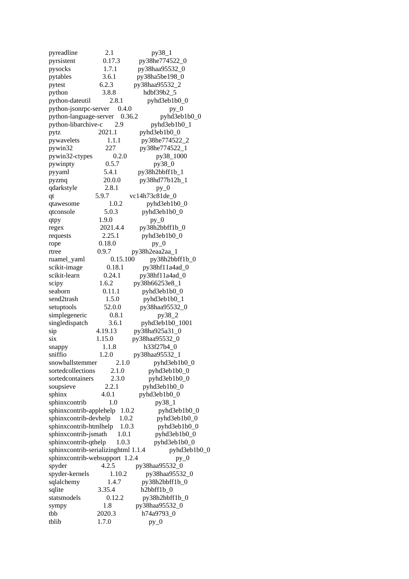pyreadline 2.1 py38\_1 pyrsistent 0.17.3 py38he774522\_0 pysocks 1.7.1 py38haa95532\_0 pytables 3.6.1 py38ha5be198\_0 pytest 6.2.3 py38haa95532\_2 python 3.8.8 hdbf39b2\_5 python-dateutil 2.8.1 pyhd3eb1b0\_0<br>python-jsonrpc-server 0.4.0 py 0 python-jsonrpc-server  $0.4.0$ python-language-server 0.36.2 pyhd3eb1b0\_0 python-libarchive-c 2.9 pyhd3eb1b0\_1 pytz 2021.1 pyhd3eb1b0\_0 pywavelets 1.1.1 py38he774522\_2<br>nvwin32 227 py38he774522\_1 pywin32 227 py38he774522\_1 pywin32-ctypes 0.2.0 py38\_1000 pywinpty 0.5.7 py38\_0 pyyaml 5.4.1 py38h2bbff1b\_1<br>pyzmq 20.0.0 py38hd77b12b 20.0.0 py38hd77b12b\_1 qdarkstyle 2.8.1 py\_0 qt 5.9.7 vc14h73c81de\_0 qtawesome 1.0.2 pyhd3eb1b0\_0 qtconsole 5.0.3 pyhd3eb1b0\_0 qtpy 1.9.0 py\_0 regex 2021.4.4 py38h2bbff1b\_0 requests 2.25.1 pyhd3eb1b0\_0 rope 0.18.0 py\_0 rtree 0.9.7 py38h2eaa2aa\_1 ruamel\_yaml 0.15.100 py38h2bbff1b\_0 scikit-image 0.18.1 py38hf11a4ad\_0 scikit-learn 0.24.1 py38hf11a4ad\_0 scipy 1.6.2 py38h66253e8\_1 seaborn 0.11.1 pyhd3eb1b0\_0 send2trash 1.5.0 pyhd3eb1b0\_1 setuptools 52.0.0 py38haa95532\_0 simplegeneric 0.8.1 py38\_2 singledispatch 3.6.1 pyhd3eb1b0\_1001 sip 4.19.13 py38ha925a31\_0 six 1.15.0 py38haa95532\_0 snappy 1.1.8 h33f27b4\_0 sniffio 1.2.0 py38haa95532\_1 snowballstemmer 2.1.0 pyhd3eb1b0\_0 sortedcollections 2.1.0 pyhd3eb1b0\_0 sortedcontainers 2.3.0 pyhd3eb1b0\_0 soupsieve 2.2.1 pyhd3eb1b0\_0 sphinx 4.0.1 pyhd3eb1b0\_0 sphinxcontrib 1.0 py38\_1 sphinxcontrib-applehelp 1.0.2 pyhd3eb1b0\_0 sphinxcontrib-devhelp 1.0.2 pyhd3eb1b0\_0 sphinxcontrib-htmlhelp 1.0.3 pyhd3eb1b0\_0 sphinxcontrib-jsmath 1.0.1 pyhd3eb1b0\_0<br>sphinxcontrib-qthelp 1.0.3 pyhd3eb1b0\_0 sphinxcontrib-qthelp  $1.0.3$  $s$ phinxcontrib-serializinghtml 1.1.4 pyhd3eb1b0\_0 sphinxcontrib-websupport 1.2.4 py\_0 spyder 4.2.5 py38haa95532\_0 spyder-kernels 1.10.2 py38haa95532\_0 sqlalchemy 1.4.7 py38h2bbff1b\_0 sqlite 3.35.4 h2bbff1b 0 statsmodels 0.12.2 py38h2bbff1b 0 sympy 1.8 py38haa95532\_0 tbb 2020.3 h74a9793\_0 tblib 1.7.0 py\_0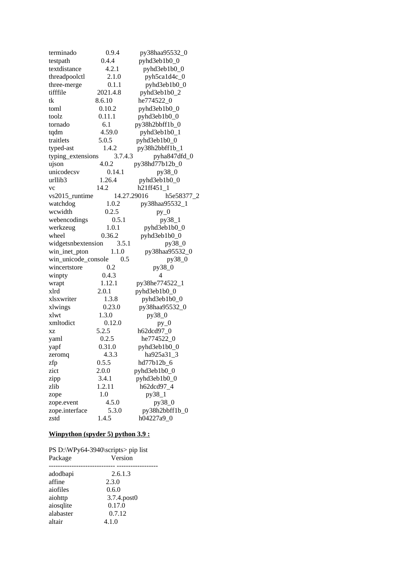| terminado           | 0.9.4    | py38haa95532_0               |
|---------------------|----------|------------------------------|
| testpath            | 0.4.4    | pyhd3eb1b0_0                 |
| textdistance        | 4.2.1    | pyhd3eb1b0_0                 |
| threadpoolctl       | 2.1.0    | pyh5ca1d4c_0                 |
| three-merge         | 0.1.1    | pyhd3eb1b0_0                 |
| tifffile            | 2021.4.8 | pyhd3eb1b0_2                 |
| tk                  | 8.6.10   | he774522_0                   |
| toml                | 0.10.2   | pyhd3eb1b0_0                 |
| toolz               | 0.11.1   | pyhd3eb1b0_0                 |
| tornado             | 6.1      | py38h2bbff1b_0               |
| tqdm                | 4.59.0   | pyhd3eb1b0_1                 |
| traitlets           | 5.0.5    | pyhd3eb1b0_0                 |
| typed-ast           | 1.4.2    | py38h2bbff1b_1               |
| typing_extensions   | 3.7.4.3  | pyha847dfd_0                 |
| ujson               | 4.0.2    | py38hd77b12b_0               |
| unicodecsv          | 0.14.1   | py38_0                       |
| urllib <sub>3</sub> | 1.26.4   | pyhd3eb1b0_0                 |
| VC                  | 14.2     | h21ff451 1                   |
| vs2015_runtime      |          | 14.27.29016<br>h5e58377_2    |
| watchdog            | 1.0.2    | py38haa95532_1               |
| wcwidth             | 0.2.5    | $py_0$                       |
| webencodings        | 0.5.1    | py38_1                       |
| werkzeug            | 1.0.1    | pyhd3eb1b0_0                 |
| wheel               | 0.36.2   | pyhd3eb1b0_0                 |
| widgetsnbextension  | 3.5.1    | py38_0                       |
| win_inet_pton       | 1.1.0    | py38haa95532_0               |
| win_unicode_console | 0.5      | py38_0                       |
| wincertstore        | 0.2      | py38_0                       |
| winpty              | 0.4.3    | 4                            |
| wrapt               | 1.12.1   | py38he774522_1               |
| xlrd                | 2.0.1    | pyhd3eb1b0_0                 |
| xlsxwriter          | 1.3.8    | pyhd3eb1b0_0                 |
| xlwings             | 0.23.0   | py38haa95532_0               |
| xlwt                | 1.3.0    | py38_0                       |
| xmltodict           | 0.12.0   | $py_0$                       |
| XZ                  | 5.2.5    | h62dcd97 0                   |
| yaml                | 0.2.5    | he774522 0                   |
| yapf                | 0.31.0   | pyhd3eb1b0_0                 |
| zeromq              | 4.3.3    | ha925a31<br>$_{-3}$          |
| zfp                 | 0.5.5    | hd77b12b_6                   |
| zict                | 2.0.0    | pyhd3eb1b0_0                 |
| zipp                | 3.4.1    | pyhd3eb1b0_0                 |
| zlib                | 1.2.11   | h62dcd97_4                   |
|                     | 1.0      | py38_1                       |
| zope                | 4.5.0    |                              |
| zope.event          | 5.3.0    | py38_0                       |
| zope.interface      | 1.4.5    | py38h2bbff1b_0<br>h04227a9 0 |
| zstd                |          |                              |

# **Winpython (spyder 5) python 3.9 :**

| Package   | PS D:\WPy64-3940\scripts> pip list<br>Version |
|-----------|-----------------------------------------------|
| adodbapi  | 2.6.1.3                                       |
| affine    | 2.3.0                                         |
| aiofiles  | 0.6.0                                         |
| aiohttp   | 3.7.4.post0                                   |
| aiosqlite | 0.17.0                                        |
| alabaster | 0.7.12                                        |
| altair    | 4.1.0                                         |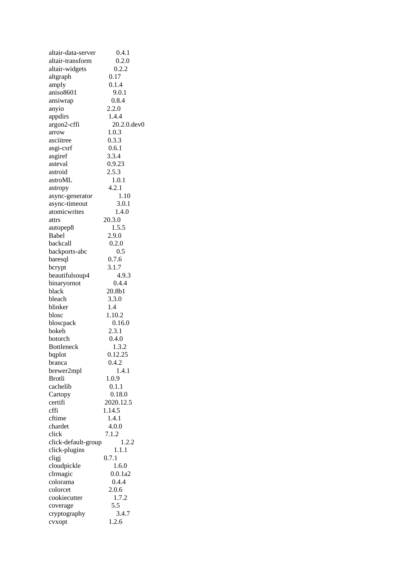| altair-data-server  | 0.4.1          |
|---------------------|----------------|
| altair-transform    | 0.2.0          |
| altair-widgets      | 0.2.2          |
| altgraph            | 0.17           |
| amply               | 0.1.4          |
| aniso8601           | 9.0.1          |
| ansiwrap            | 0.8.4          |
| anyio               | 2.2.0          |
| appdirs             | 1.4.4          |
| argon2-cffi         | 20.2.0.dev0    |
| arrow               | 1.0.3          |
| asciitree           | 0.3.3          |
| asgi-csrf           | 0.6.1          |
| asgiref             | 3.3.4          |
| asteval             | 0.9.23         |
| astroid             | 2.5.3          |
| astroML             | 1.0.1          |
| astropy             | 4.2.1          |
| async-generator     | 1.10           |
| async-timeout       | 3.0.1          |
| atomicwrites        | 1.4.0          |
| attrs               | 20.3.0         |
|                     | 1.5.5          |
| autopep8<br>Babel   |                |
| backcall            | 2.9.0<br>0.2.0 |
|                     | 0.5            |
| backports-abc       |                |
| baresql             | 0.7.6          |
| bcrypt              | 3.1.7          |
| beautifulsoup4      | 4.9.3          |
| binaryornot         | 0.4.4          |
| black               | 20.8b1         |
| bleach              | 3.3.0          |
| blinker             | 1.4            |
| blosc               | 1.10.2         |
| bloscpack           | 0.16.0         |
| bokeh               | 2.3.1          |
| botorch             | 0.4.0          |
| <b>Bottleneck</b>   | 1.3.2          |
| bqplot              | 0.12.25        |
| branca              | 0.4.2          |
| brewer2mpl          | 1.4.1          |
| <b>Brotli</b>       | 1.0.9          |
| cachelib            | 0.1.1          |
| Cartopy             | 0.18.0         |
| certifi             | 2020.12.5      |
| cffi                | 1.14.5         |
| cftime              | 1.4.1          |
| chardet             | 4.0.0          |
| click               | 7.1.2          |
| click-default-group | 1.2.2          |
| click-plugins       | 1.1.1          |
| cligj               | 0.7.1          |
| cloudpickle         | 1.6.0          |
| clrmagic            | 0.0.1a2        |
| colorama            | 0.4.4          |
| colorcet            | 2.0.6          |
| cookiecutter        | 1.7.2          |
| coverage            | 5.5            |
| cryptography        | 3.4.7          |
| cvxopt              | 1.2.6          |
|                     |                |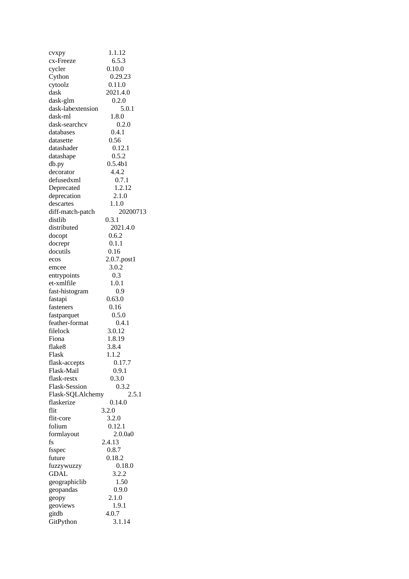| cvxpy                | 1.1.12      |
|----------------------|-------------|
| cx-Freeze            | 6.5.3       |
| cycler               | 0.10.0      |
| Cython               | 0.29.23     |
| cytoolz              | 0.11.0      |
| dask                 | 2021.4.0    |
| dask-glm             | 0.2.0       |
| dask-labextension    | 5.0.1       |
| dask-ml              | 1.8.0       |
| dask-searchcv        | 0.2.0       |
| databases            | 0.4.1       |
| datasette            | 0.56        |
| datashader           | 0.12.1      |
|                      | 0.5.2       |
| datashape            |             |
| db.py                | 0.5.4b1     |
| decorator            | 4.4.2       |
| defusedxml           | 0.7.1       |
| Deprecated           | 1.2.12      |
| deprecation          | 2.1.0       |
| descartes            | 1.1.0       |
| diff-match-patch     | 20200713    |
| distlib              | 0.3.1       |
| distributed          | 2021.4.0    |
| docopt               | 0.6.2       |
| docrepr              | 0.1.1       |
| docutils             | 0.16        |
| ecos                 | 2.0.7.post1 |
| emcee                | 3.0.2       |
| entrypoints          | $0.3\,$     |
| et-xmlfile           | 1.0.1       |
| fast-histogram       | 0.9         |
| fastapi              | 0.63.0      |
| fasteners            | 0.16        |
| fastparquet          | 0.5.0       |
| feather-format       |             |
|                      | 0.4.1       |
| filelock             | 3.0.12      |
| Fiona                | 1.8.19      |
| flake8               | 3.8.4       |
| Flask                | 1.1.2       |
| flask-accepts        | 0.17.7      |
| Flask-Mail           | 0.9.1       |
| flask-restx          | 0.3.0       |
| <b>Flask-Session</b> | 0.3.2       |
| Flask-SQLAlchemy     | 2.5.1       |
| flaskerize           | 0.14.0      |
| flit                 | 3.2.0       |
| flit-core            | 3.2.0       |
| folium               | 0.12.1      |
| formlayout           | 2.0.0a0     |
| fs                   | 2.4.13      |
| fsspec               | 0.8.7       |
| future               | 0.18.2      |
| fuzzywuzzy           | 0.18.0      |
| GDAL                 | 3.2.2       |
| geographiclib        | 1.50        |
| geopandas            | 0.9.0       |
| geopy                | 2.1.0       |
|                      | 1.9.1       |
| geoviews             |             |
| gitdb                | 4.0.7       |
| GitPython            | 3.1.14      |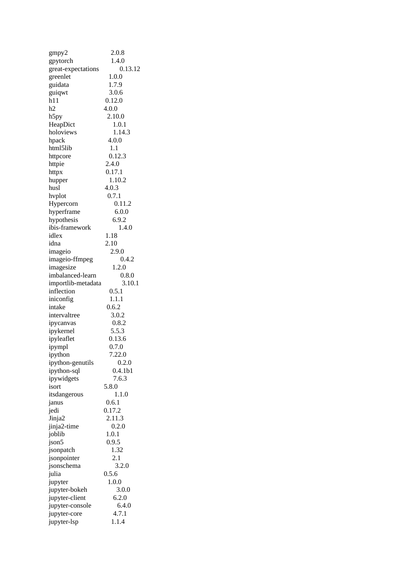| gmpy2              | 2.0.8               |
|--------------------|---------------------|
| gpytorch           | 1.4.0               |
| great-expectations | 0.13.12             |
| greenlet           | 1.0.0               |
| guidata            | 1.7.9               |
| guiqwt             | 3.0.6               |
| h11                | 0.12.0              |
| h2                 | 4.0.0               |
| h5py               | 2.10.0              |
| HeapDict           | 1.0.1               |
|                    |                     |
| holoviews          | 1.14.3              |
| hpack              | 4.0.0               |
| html5lib           | 1.1                 |
| httpcore           | 0.12.3              |
| httpie             | 2.4.0               |
| httpx              | 0.17.1              |
| hupper             | 1.10.2              |
| husl               | 4.0.3               |
| hvplot             | 0.7.1               |
| Hypercorn          | 0.11.2              |
| hyperframe         | 6.0.0               |
| hypothesis         | 6.9.2               |
| ibis-framework     | 1.4.0               |
| idlex              | 1.18                |
| idna               | 2.10                |
| imageio            | 2.9.0               |
|                    | 0.4.2               |
| imageio-ffmpeg     |                     |
| imagesize          | 1.2.0               |
| imbalanced-learn   | 0.8.0               |
| importlib-metadata | 3.10.1              |
| inflection         | 0.5.1               |
| iniconfig          | 1.1.1               |
| intake             | 0.6.2               |
| intervaltree       | 3.0.2               |
| ipycanvas          | 0.8.2               |
| ipykernel          | 5.5.3               |
| ipyleaflet         | 0.13.6              |
| ipympl             | 0.7.0               |
| ipython            | 7.22.0              |
| ipython-genutils   | 0.2.0               |
| ipython-sql        | 0.4.1 <sub>b1</sub> |
| ipywidgets         | 7.6.3               |
|                    |                     |
| isort              | 5.8.0               |
| itsdangerous       | 1.1.0               |
| janus              | 0.6.1               |
| jedi               | 0.17.2              |
| Jinja2             | 2.11.3              |
| jinja2-time        | 0.2.0               |
| joblib             | 1.0.1               |
| json5              | 0.9.5               |
| jsonpatch          | 1.32                |
| jsonpointer        | 2.1                 |
| jsonschema         | 3.2.0               |
| julia              | 0.5.6               |
| jupyter            | 1.0.0               |
| jupyter-bokeh      | 3.0.0               |
| jupyter-client     | 6.2.0               |
|                    |                     |
| jupyter-console    | 6.4.0               |
| jupyter-core       | 4.7.1               |
| jupyter-lsp        | 1.1.4               |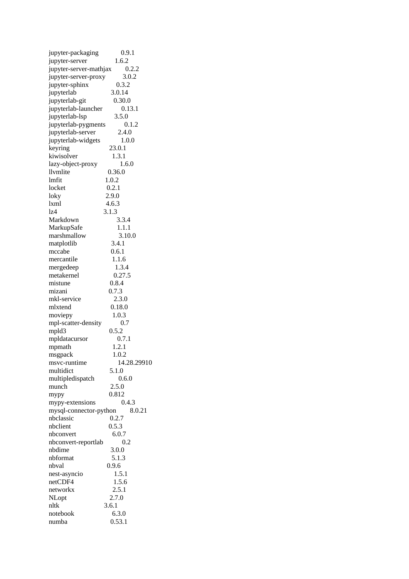| jupyter-packaging      | 0.9.1       |
|------------------------|-------------|
| jupyter-server         | 1.6.2       |
| jupyter-server-mathjax | 0.2.2       |
| jupyter-server-proxy   | 3.0.2       |
| jupyter-sphinx         | 0.3.2       |
| jupyterlab             | 3.0.14      |
| jupyterlab-git         | 0.30.0      |
| jupyterlab-launcher    | 0.13.1      |
| jupyterlab-lsp         | 3.5.0       |
| jupyterlab-pygments    | 0.1.2       |
| jupyterlab-server      | 2.4.0       |
| jupyterlab-widgets     | 1.0.0       |
|                        |             |
| keyring                | 23.0.1      |
| kiwisolver             | 1.3.1       |
| lazy-object-proxy      | 1.6.0       |
| llvmlite               | 0.36.0      |
| lmfit                  | 1.0.2       |
| locket                 | 0.2.1       |
| loky                   | 2.9.0       |
| $l$ xm $l$             | 4.6.3       |
| lz4                    | 3.1.3       |
| Markdown               | 3.3.4       |
| MarkupSafe             | 1.1.1       |
| marshmallow            | 3.10.0      |
| matplotlib             | 3.4.1       |
| mccabe                 | 0.6.1       |
| mercantile             | 1.1.6       |
|                        | 1.3.4       |
| mergedeep              |             |
| metakernel             | 0.27.5      |
| mistune                | 0.8.4       |
| mizani                 | 0.7.3       |
| mkl-service            | 2.3.0       |
| mlxtend                | 0.18.0      |
| moviepy                | 1.0.3       |
| mpl-scatter-density    | 0.7         |
| mpld3                  | 0.5.2       |
| mpldatacursor          | 0.7.1       |
| mpmath                 | 1.2.1       |
| msgpack                | 1.0.2       |
| msvc-runtime           | 14.28.29910 |
| multidict              | 5.1.0       |
| multipledispatch       | 0.6.0       |
| munch                  | 2.5.0       |
| mypy                   | 0.812       |
|                        | 0.4.3       |
| mypy-extensions        |             |
| mysql-connector-python | 8.0.21      |
| nbclassic              | 0.2.7       |
| nbclient               | 0.5.3       |
| nbconvert              | 6.0.7       |
| nbconvert-reportlab    | 0.2         |
| nbdime                 | 3.0.0       |
| nbformat               | 5.1.3       |
| nbval                  | 0.9.6       |
| nest-asyncio           | 1.5.1       |
| netCDF4                | 1.5.6       |
| networkx               | 2.5.1       |
| NLopt                  | 2.7.0       |
| nltk                   | 3.6.1       |
| notebook               | 6.3.0       |
| numba                  | 0.53.1      |
|                        |             |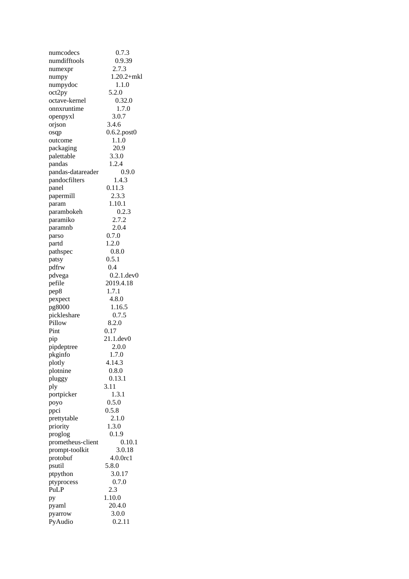| numcodecs         | 0.7.3             |
|-------------------|-------------------|
| numdifftools      | 0.9.39            |
| numexpr           | 2.7.3             |
| numpy             | $1.20.2 + mkl$    |
| numpydoc          | 1.1.0             |
| oct2py            | 5.2.0             |
| octave-kernel     | 0.32.0            |
| onnxruntime       | 1.7.0             |
| openpyxl          | 3.0.7             |
| orjson            | 3.4.6             |
| osqp              | $0.6.2$ .post $0$ |
| outcome           | 1.1.0             |
| packaging         | 20.9              |
| palettable        | 3.3.0             |
| pandas            | 1.2.4             |
| pandas-datareader | 0.9.0             |
| pandocfilters     | 1.4.3             |
| panel             | 0.11.3            |
| papermill         | 2.3.3             |
| param             | 1.10.1            |
| parambokeh        | 0.2.3             |
| paramiko          | 2.7.2             |
| paramnb           | 2.0.4             |
|                   | 0.7.0             |
| parso<br>partd    | 1.2.0             |
| pathspec          | 0.8.0             |
|                   | 0.5.1             |
| patsy             | 0.4               |
| pdfrw             | $0.2.1$ .dev $0$  |
| pdvega            |                   |
| pefile            | 2019.4.18         |
| pep8              | 1.7.1             |
| pexpect           | 4.8.0             |
| pg8000            | 1.16.5            |
| pickleshare       | 0.7.5             |
| Pillow            | 8.2.0             |
| Pint              | 0.17              |
| pip               | 21.1.dev0         |
| pipdeptree        | 2.0.0             |
| pkginfo           | 1.7.0             |
| plotly            | 4.14.3            |
| plotnine          | 0.8.0             |
| pluggy            | 0.13.1            |
| ply               | 3.11              |
| portpicker        | 1.3.1             |
| poyo              | 0.5.0             |
| ppci              | 0.5.8             |
| prettytable       | 2.1.0             |
| priority          | 1.3.0             |
| proglog           | 0.1.9             |
| prometheus-client | 0.10.1            |
| prompt-toolkit    | 3.0.18            |
| protobuf          | 4.0.0rc1          |
| psutil            | 5.8.0             |
| ptpython          | 3.0.17            |
| ptyprocess        | 0.7.0             |
| PuLP              | 2.3               |
| pу                | 1.10.0            |
| pyaml             | 20.4.0            |
| pyarrow           | 3.0.0             |
| PyAudio           | 0.2.11            |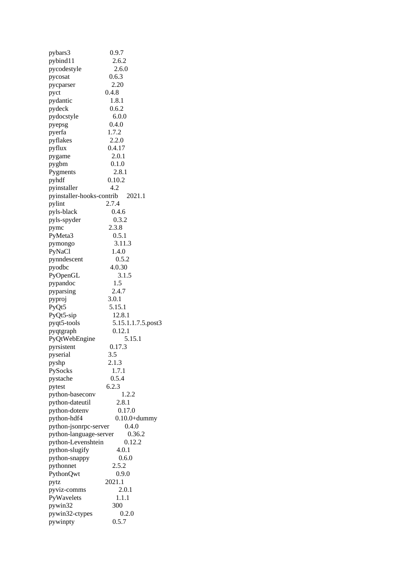| pybars3                          | 0.9.7              |
|----------------------------------|--------------------|
| pybind11                         | 2.6.2              |
| pycodestyle                      | 2.6.0              |
| pycosat                          | 0.6.3              |
| pycparser                        | 2.20               |
| pyct                             | 0.4.8              |
| pydantic                         | 1.8.1              |
| pydeck                           | 0.6.2              |
| pydocstyle                       | 6.0.0              |
| pyepsg                           | 0.4.0              |
| pyerfa                           | 1.7.2              |
| pyflakes                         | 2.2.0              |
| pyflux                           | 0.4.17             |
| pygame                           | 2.0.1              |
| pygbm                            | 0.1.0              |
| Pygments                         | 2.8.1              |
| pyhdf                            | 0.10.2             |
| pyinstaller                      | 4.2                |
| pyinstaller-hooks-contrib 2021.1 |                    |
| pylint                           | 2.7.4              |
| pyls-black                       | 0.4.6              |
| pyls-spyder                      | 0.3.2              |
| pymc                             | 2.3.8              |
| PyMeta3                          | 0.5.1              |
| pymongo                          | 3.11.3             |
| PyNaCl                           | 1.4.0              |
| pynndescent                      | 0.5.2              |
| pyodbc                           | 4.0.30             |
| PyOpenGL                         | 3.1.5              |
| pypandoc                         | 1.5                |
|                                  | 2.4.7              |
| pyparsing                        | 3.0.1              |
| pyproj                           | 5.15.1             |
| PyQt5                            |                    |
| PyQt5-sip                        | 12.8.1             |
| pyqt5-tools                      | 5.15.1.1.7.5.post3 |
| pyqtgraph                        | 0.12.1             |
| PyQtWebEngine                    | 5.15.1             |
| pyrsistent                       | 0.17.3             |
| pyserial                         | 3.5<br>2.1.3       |
| pyshp                            |                    |
| PySocks                          | 1.7.1              |
| pystache                         | 0.5.4              |
| pytest                           | 6.2.3              |
| python-baseconv                  | 1.2.2              |
| python-dateutil                  | 2.8.1              |
| python-dotenv                    | 0.17.0             |
| python-hdf4                      | $0.10.0+dummy$     |
| python-jsonrpc-server            | 0.4.0              |
| python-language-server           | 0.36.2             |
| python-Levenshtein               | 0.12.2             |
| python-slugify                   | 4.0.1              |
| python-snappy                    | 0.6.0              |
| pythonnet                        | 2.5.2              |
| PythonQwt                        | 0.9.0              |
| pytz                             | 2021.1             |
| pyviz-comms                      | 2.0.1              |
| PyWavelets                       | 1.1.1              |
| pywin32                          | 300                |
| pywin32-ctypes                   | 0.2.0              |
| pywinpty                         | 0.5.7              |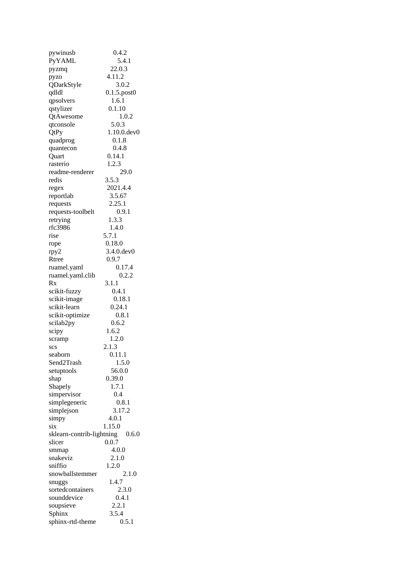| pywinusb                  | 0.4.2             |
|---------------------------|-------------------|
| PyYAML                    | 5.4.1             |
| pyzmq                     | 22.0.3            |
| pyzo                      | 4.11.2            |
| QDarkStyle                | 3.0.2             |
| qdldl                     | $0.1.5$ .post $0$ |
| qpsolvers                 | 1.6.1             |
| qstylizer                 | 0.1.10            |
|                           | 1.0.2             |
| QtAwesome                 |                   |
| qtconsole                 | 5.0.3             |
| QtPy                      | 1.10.0.dev0       |
| quadprog                  | 0.1.8             |
| quantecon                 | 0.4.8             |
| Quart                     | 0.14.1            |
| rasterio                  | 1.2.3             |
| readme-renderer           | 29.0              |
| redis                     | 3.5.3             |
| regex                     | 2021.4.4          |
| reportlab                 | 3.5.67            |
| requests                  | 2.25.1            |
| requests-toolbelt         | 0.9.1             |
| retrying                  | 1.3.3             |
| rfc3986                   | 1.4.0             |
| rise                      | 5.7.1             |
| rope                      | 0.18.0            |
| rpy2                      | 3.4.0.dev0        |
| Rtree                     | 0.9.7             |
| ruamel.yaml               | 0.17.4            |
|                           | 0.2.2             |
| ruamel.yaml.clib          |                   |
| Rx                        | 3.1.1             |
| scikit-fuzzy              | 0.4.1             |
| scikit-image              | 0.18.1            |
| scikit-learn              | 0.24.1            |
| scikit-optimize           | 0.8.1             |
| scilab2py                 | 0.6.2             |
| scipy                     | 1.6.2             |
| scramp                    | 1.2.0             |
| SCS                       | 2.1.3             |
| seaborn                   | 0.11.1            |
| Send2Trash                | 1.5.0             |
| setuptools                | 56.0.0            |
| shap                      | 0.39.0            |
| Shapely                   | 1.7.1             |
| simpervisor               | 0.4               |
| simplegeneric             | 0.8.1             |
| simplejson                | 3.17.2            |
| simpy                     | 4.0.1             |
| six                       | 1.15.0            |
| sklearn-contrib-lightning | 0.6.0             |
| slicer                    | 0.0.7             |
| smmap                     | 4.0.0             |
| snakeviz                  | 2.1.0             |
| sniffio                   |                   |
|                           | 1.2.0             |
| snowballstemmer           | 2.1.0             |
| snuggs                    | 1.4.7             |
| sortedcontainers          | 2.3.0             |
| sounddevice               | 0.4.1             |
| soupsieve                 | 2.2.1             |
| Sphinx                    | 3.5.4             |
| sphinx-rtd-theme          | 0.5.1             |
|                           |                   |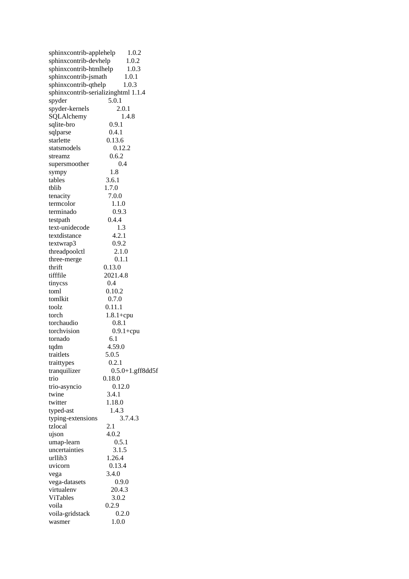| sphinxcontrib-applehelp             | 1.0.2               |
|-------------------------------------|---------------------|
| sphinxcontrib-devhelp               | 1.0.2               |
| sphinxcontrib-htmlhelp              | 1.0.3               |
| sphinxcontrib-jsmath                | 1.0.1               |
| sphinxcontrib-qthelp                | 1.0.3               |
|                                     |                     |
| sphinxcontrib-serializinghtml 1.1.4 |                     |
| spyder                              | 5.0.1               |
| spyder-kernels                      | 2.0.1               |
| SQLAlchemy                          | 1.4.8               |
| sqlite-bro                          | 0.9.1               |
| sqlparse                            | 0.4.1               |
| starlette                           | 0.13.6              |
| statsmodels                         | 0.12.2              |
| streamz                             | 0.6.2               |
|                                     | 0.4                 |
| supersmoother                       |                     |
| sympy                               | 1.8                 |
| tables                              | 3.6.1               |
| tblib                               | 1.7.0               |
| tenacity                            | 7.0.0               |
| termcolor                           | 1.1.0               |
| terminado                           | 0.9.3               |
| testpath                            | 0.4.4               |
| text-unidecode                      | 1.3                 |
|                                     |                     |
| textdistance                        | 4.2.1               |
| textwrap3                           | 0.9.2               |
| threadpoolctl                       | 2.1.0               |
| three-merge                         | 0.1.1               |
| thrift                              | 0.13.0              |
| tifffile                            | 2021.4.8            |
| tinycss                             | 0.4                 |
| toml                                | 0.10.2              |
| tomlkit                             | 0.7.0               |
| toolz                               | 0.11.1              |
|                                     |                     |
| torch                               | $1.8.1 +$ cpu       |
| torchaudio                          | 0.8.1               |
| torchvision                         | $0.9.1 +$ cpu       |
| tornado                             | 6.1                 |
| tqdm                                | 4.59.0              |
| traitlets                           | 5.0.5               |
| traittypes                          | 0.2.1               |
| tranquilizer                        | $0.5.0+1.$ gff8dd5f |
| trio                                | 0.18.0              |
|                                     | 0.12.0              |
| trio-asyncio                        |                     |
| twine                               | 3.4.1               |
| twitter                             | 1.18.0              |
| typed-ast                           | 1.4.3               |
| typing-extensions                   | 3.7.4.3             |
| tzlocal                             | 2.1                 |
| ujson                               | 4.0.2               |
| umap-learn                          | 0.5.1               |
| uncertainties                       | 3.1.5               |
| urllib3                             |                     |
|                                     | 1.26.4              |
| uvicorn                             | 0.13.4              |
| vega                                | 3.4.0               |
| vega-datasets                       | 0.9.0               |
| virtualenv                          | 20.4.3              |
| ViTables                            | 3.0.2               |
| voila                               | 0.2.9               |
| voila-gridstack                     | 0.2.0               |
| wasmer                              | 1.0.0               |
|                                     |                     |